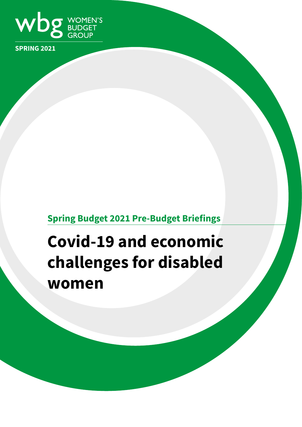

**SPRING 2021**

# **Spring Budget 2021 Pre-Budget Briefings**

# **Covid-19 and economic challenges for disabled women**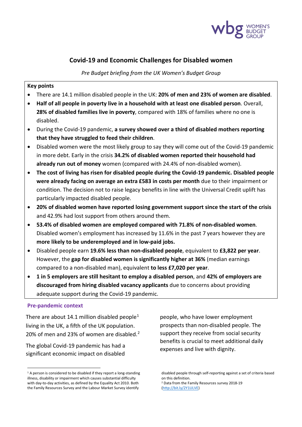

## **Covid-19 and Economic Challenges for Disabled women**

*Pre Budget briefing from the UK Women's Budget Group*

#### **Key points**

- There are 14.1 million disabled people in the UK: **20% of men and 23% of women are disabled**.
- **Half of all people in poverty live in a household with at least one disabled person**. Overall, **28% of disabled families live in poverty**, compared with 18% of families where no one is disabled.
- During the Covid-19 pandemic, **a survey showed over a third of disabled mothers reporting that they have struggled to feed their children**.
- Disabled women were the most likely group to say they will come out of the Covid-19 pandemic in more debt. Early in the crisis **34.2% of disabled women reported their household had already run out of money** women (compared with 24.4% of non-disabled women).
- **The cost of living has risen for disabled people during the Covid-19 pandemic. Disabled people were already facing on average an extra £583 in costs per month** due to their impairment or condition. The decision not to raise legacy benefits in line with the Universal Credit uplift has particularly impacted disabled people.
- **20% of disabled women have reported losing government support since the start of the crisis** and 42.9% had lost support from others around them.
- **53.4% of disabled women are employed compared with 71.8% of non-disabled women**. Disabled women's employment has increased by 11.6% in the past 7 years however they are **more likely to be underemployed and in low-paid jobs.**
- Disabled people earn **19.6% less than non-disabled people**, equivalent to **£3,822 per year**. However, the **gap for disabled women is significantly higher at 36%** (median earnings compared to a non-disabled man), equivalent **to less £7,020 per year**.
- **1 in 5 employers are still hesitant to employ a disabled person**, and **42% of employers are discouraged from hiring disabled vacancy applicants** due to concerns about providing adequate support during the Covid-19 pandemic.

#### **Pre-pandemic context**

There are about [1](#page-1-0)4.1 million disabled people<sup>1</sup> living in the UK, a fifth of the UK population. [2](#page-1-1)0% of men and 23% of women are disabled.<sup>2</sup>

The global Covid-19 pandemic has had a significant economic impact on disabled

people, who have lower employment prospects than non-disabled people. The support they receive from social security benefits is crucial to meet additional daily expenses and live with dignity.

<span id="page-1-1"></span><span id="page-1-0"></span> $1$  A person is considered to be disabled if they report a long-standing illness, disability or impairment which causes substantial difficulty with day-to-day activities, as defined by the Equality Act 2010. Both the Family Resources Survey and the Labour Market Survey identify

disabled people through self-reporting against a set of criteria based on this definition. <sup>2</sup> Data from the Family Resources survey 2018-19 [\(http://bit.ly/2Y1ULVE\)](http://bit.ly/2Y1ULVE)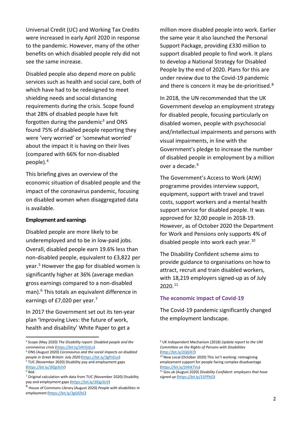Universal Credit (UC) and Working Tax Credits were increased in early April 2020 in response to the pandemic. However, many of the other benefits on which disabled people rely did not see the same increase.

Disabled people also depend more on public services such as health and social care, both of which have had to be redesigned to meet shielding needs and social distancing requirements during the crisis. Scope found that 28% of disabled people have felt forgotten during the pandemic<sup>[3](#page-2-0)</sup> and ONS found 75% of disabled people reporting they were 'very worried' or 'somewhat worried' about the impact it is having on their lives (compared with 66% for non-disabled people).[4](#page-2-1)

This briefing gives an overview of the economic situation of disabled people and the impact of the coronavirus pandemic, focusing on disabled women when disaggregated data is available.

#### **Employment and earnings**

Disabled people are more likely to be underemployed and to be in low-paid jobs. Overall, disabled people earn 19.6% less than non-disabled people, equivalent to £3,822 per year.[5](#page-2-2) However the gap for disabled women is significantly higher at 36% (average median gross earnings compared to a non-disabled man).<sup>[6](#page-2-3)</sup> This totals an equivalent difference in earnings of £[7](#page-2-4),020 per year.<sup>7</sup>

In 2017 the Government set out its ten-year plan 'Improving Lives: the future of work, health and disability' White Paper to get a

million more disabled people into work. Earlier the same year it also launched the Personal Support Package, providing £330 million to support disabled people to find work. It plans to develop a National Strategy for Disabled People by the end of 2020. Plans for this are under review due to the Covid-19 pandemic and there is concern it may be de-prioritised.<sup>8</sup>

In 2018, the UN recommended that the UK Government develop an employment strategy for disabled people, focusing particularly on disabled women, people with psychosocial and/intellectual impairments and persons with visual impairments, in line with the Government's pledge to increase the number of disabled people in employment by a million over a decade.<sup>9</sup>

The Government's Access to Work (AtW) programme provides interview support, equipment, support with travel and travel costs, support workers and a mental health support service for disabled people. It was approved for 32,00 people in 2018-19. However, as of October 2020 the Department for Work and Pensions only supports 4% of disabled people into work each year.<sup>10</sup>

The Disability Confident scheme aims to provide guidance to organisations on how to attract, recruit and train disabled workers, with 18,219 employers signed-up as of July 2020.[11](#page-2-3)

#### **The economic impact of Covid-19**

The Covid-19 pandemic significantly changed the employment landscape.

<span id="page-2-0"></span><sup>3</sup> Scope (May 2020) *The Disability report: Disabled people and the coronavirus crisis* [\(https://bit.ly/34VGdLo\)](https://bit.ly/34VGdLo)

<span id="page-2-6"></span><span id="page-2-1"></span><sup>4</sup> ONS (August 2020) *Coronavirus and the social impacts on disabled people in Great Britain: July 2020* [\(https://bit.ly/3gPnEuz\)](https://bit.ly/3gPnEuz)

<span id="page-2-2"></span><sup>&</sup>lt;sup>5</sup> TUC (November 2020) Disability pay and employment gaps [\(https://bit.ly/3lQp3UV\)](https://bit.ly/3lQp3UV)

<span id="page-2-3"></span> $6$  Ibid.

<span id="page-2-4"></span><sup>7</sup> Original calculation with data from TUC (November 2020) Disability pay and employment gaps [\(https://bit.ly/3lQp3UV\)](https://bit.ly/3lQp3UV)

<span id="page-2-5"></span><sup>8</sup> House of Commons Library (August 2020) *People with disabilities in employment* [\(https://bit.ly/3gSXZkC\)](https://bit.ly/3gSXZkC)

<sup>9</sup> UK Independent Mechanism (2018) *Update report to the UM Committee on the Rights of Persons with Disabilities*

 $10$  New Local (October 2020) This isn't working: reimagining employment support for people facing complex disadvantage [\(https://bit.ly/2HhK7Vu\)](https://bit.ly/2HhK7Vu)

<sup>11</sup> Gov.uk (August 2020) *Disability Confident: employers that have signed up* [\(https://bit.ly/31PPbI1\)](https://bit.ly/31PPbI1)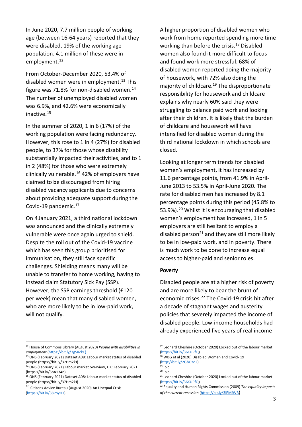In June 2020, 7.7 million people of working age (between 16-64 years) reported that they were disabled, 19% of the working age population. 4.1 million of these were in employment.<sup>[12](#page-3-0)</sup>

From October-December 2020, 53.4% of disabled women were in employment. [13](#page-3-1) This figure was 71.8% for non-disabled women. $^{14}$  $^{14}$  $^{14}$ The number of unemployed disabled women was 6.9%, and 42.6% were economically inactive.[15](#page-3-3)

In the summer of 2020, 1 in 6 (17%) of the working population were facing redundancy. However, this rose to 1 in 4 (27%) for disabled people, to 37% for those whose disability substantially impacted their activities, and to 1 in 2 (48%) for those who were extremely clinically vulnerable.<sup>[16](#page-3-4)</sup> 42% of employers have claimed to be discouraged from hiring disabled vacancy applicants due to concerns about providing adequate support during the Covid-19 pandemic[.17](#page-3-0)

On 4 January 2021, a third national lockdown was announced and the clinically extremely vulnerable were once again urged to shield. Despite the roll out of the Covid-19 vaccine which has seen this group prioritised for immunisation, they still face specific challenges. Shielding means many will be unable to transfer to home working, having to instead claim Statutory Sick Pay (SSP). However, the SSP earnings threshold (£120 per week) mean that many disabled women, who are more likely to be in low-paid work, will not qualify.

A higher proportion of disabled women who work from home reported spending more time working than before the crisis.<sup>18</sup> Disabled women also found it more difficult to focus and found work more stressful. 68% of disabled women reported doing the majority of housework, with 72% also doing the majority of childcare.<sup>19</sup> The disproportionate responsibility for housework and childcare explains why nearly 60% said they were struggling to balance paid work and looking after their children. It is likely that the burden of childcare and housework will have intensified for disabled women during the third national lockdown in which schools are closed.

Looking at longer term trends for disabled women's employment, it has increased by 11.6 percentage points, from 41.9% in April-June 2013 to 53.5% in April-June 2020. The rate for disabled men has increased by 8.1 percentage points during this period (45.8% to 53.9%). [20](#page-3-5) Whilst it is encouraging that disabled women's employment has increased, 1 in 5 employers are still hesitant to employ a disabled person<sup>[21](#page-3-3)</sup> and they are still more likely to be in low-paid work, and in poverty. There is much work to be done to increase equal access to higher-paid and senior roles.

#### **Poverty**

Disabled people are at a higher risk of poverty and are more likely to bear the brunt of economic crises.<sup>22</sup> The Covid-19 crisis hit after a decade of stagnant wages and austerity policies that severely impacted the income of disabled people. Low-income households had already experienced five years of real income

<span id="page-3-0"></span><sup>12</sup> House of Commons Library (August 2020) *People with disabilities in employment* [\(https://bit.ly/3gSXZkC\)](https://bit.ly/3gSXZkC))

<span id="page-3-1"></span><sup>13</sup> ONS (February 2021) Dataset A08: Labour market status of disabled people (https://bit.ly/37Hm2kJ)

<span id="page-3-2"></span><sup>&</sup>lt;sup>14</sup> ONS (February 2021) Labour market overview, UK: February 2021 (https://bit.ly/3bA134n)

<span id="page-3-5"></span><span id="page-3-3"></span><sup>15</sup> ONS (February 2021) Dataset A08: Labour market status of disabled people (https://bit.ly/37Hm2kJ)

<span id="page-3-4"></span><sup>16</sup> Citizens Advice Bureau (August 2020) An Unequal Crisis [\(https://bit.ly/38PoyH7\)](https://bit.ly/38PoyH7)

<sup>&</sup>lt;sup>17</sup> Leonard Cheshire (October 2020) Locked out of the labour market [\(https://bit.ly/36KUPfQ\)](https://bit.ly/36KUPfQ)

<sup>18</sup> WBG et al (2020) Disabled Women and Covid- 19 [\(http://bit.ly/2GbOzo2\)](http://bit.ly/2GbOzo2)<br><sup>19</sup> Ibid.

 $20$  Ibid.

<sup>21</sup> Leonard Cheshire (October 2020) Locked out of the labour market [\(https://bit.ly/36KUPfQ\)](https://bit.ly/36KUPfQ)

<sup>22</sup> Equality and Human Rights Commission (2009) *The equality impacts of the current recession* [\(https://bit.ly/3lEMfWB\)](https://bit.ly/3lEMfWB)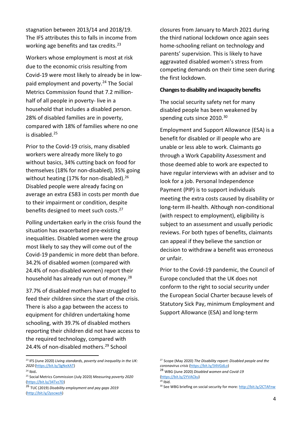stagnation between 2013/14 and 2018/19. The IFS attributes this to falls in income from working age benefits and tax credits.<sup>[23](#page-4-0)</sup>

Workers whose employment is most at risk due to the economic crisis resulting from Covid-19 were most likely to already be in low-paid employment and poverty.<sup>[24](#page-4-1)</sup> The Social Metrics Commission found that 7.2 millionhalf of all people in poverty- live in a household that includes a disabled person. 28% of disabled families are in poverty, compared with 18% of families where no one is disabled.[25](#page-4-2)

Prior to the Covid-19 crisis, many disabled workers were already more likely to go without basics, 34% cutting back on food for themselves (18% for non-disabled), 35% going without heating (17% for non-disabled).<sup>[26](#page-4-3)</sup> Disabled people were already facing on average an extra £583 in costs per month due to their impairment or condition, despite benefits designed to meet such costs.<sup>[27](#page-4-0)</sup>

Polling undertaken early in the crisis found the situation has exacerbated pre-existing inequalities. Disabled women were the group most likely to say they will come out of the Covid-19 pandemic in more debt than before. 34.2% of disabled women (compared with 24.4% of non-disabled women) report their household has already run out of money.<sup>[28](#page-4-1)</sup>

37.7% of disabled mothers have struggled to feed their children since the start of the crisis. There is also a gap between the access to equipment for children undertaking home schooling, with 39.7% of disabled mothers reporting their children did not have access to the required technology, compared with 24.4% of non-disabled mothers.<sup>[29](#page-4-4)</sup> School

closures from January to March 2021 during the third national lockdown once again sees home-schooling reliant on technology and parents' supervision. This is likely to have aggravated disabled women's stress from competing demands on their time seen during the first lockdown.

#### **Changes to disability and incapacity benefits**

The social security safety net for many disabled people has been weakened by spending cuts since 2010.<sup>[30](#page-4-3)</sup>

Employment and Support Allowance (ESA) is a benefit for disabled or ill people who are unable or less able to work. Claimants go through a Work Capability Assessment and those deemed able to work are expected to have regular interviews with an adviser and to look for a job. Personal Independence Payment (PIP) is to support individuals meeting the extra costs caused by disability or long-term ill-health. Although non-conditional (with respect to employment), eligibility is subject to an assessment and usually periodic reviews. For both types of benefits, claimants can appeal if they believe the sanction or decision to withdraw a benefit was erroneous or unfair.

Prior to the Covid-19 pandemic, the Council of Europe concluded that the UK does not conform to the right to social security under the European Social Charter because levels of Statutory Sick Pay, minimum Employment and Support Allowance (ESA) and long-term

 $29$  Ibid.

<span id="page-4-0"></span><sup>23</sup> IFS (June 2020) *Living standards, poverty and inequality in the UK: 2020* [\(https://bit.ly/3gNeXAT\)](https://bit.ly/3gNeXAT)

<span id="page-4-1"></span> $24$  Ibid.

<span id="page-4-2"></span><sup>25</sup> Social Metrics Commission (July 2020) *Measuring poverty 2020* [\(https://bit.ly/34Tvz7D\)](https://bit.ly/34Tvz7D)

<span id="page-4-4"></span><span id="page-4-3"></span><sup>26</sup> TUC (2019) *Disability employment and pay gaps 2019* [\(http://bit.ly/2yscwzA\)](http://bit.ly/2yscwzA)

<sup>27</sup> Scope (May 2020) *The Disability report: Disabled people and the coronavirus crisis* [\(https://bit.ly/34VGdLo\)](https://bit.ly/34VGdLo)

<sup>28</sup> WBG (June 2020) *Disabled women and Covid-19* [\(https://bit.ly/2YVACku\)](https://bit.ly/2YVACku)

<sup>30</sup> See WBG briefing on social security for more: <http://bit.ly/2CTAFnw>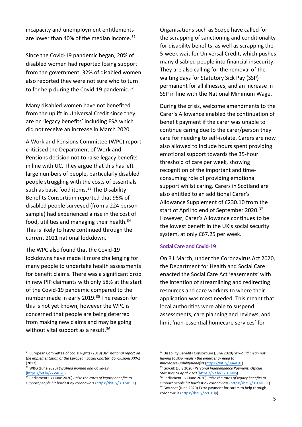incapacity and unemployment entitlements are lower than 40% of the median income. $31$ 

Since the Covid-19 pandemic began, 20% of disabled women had reported losing support from the government. 32% of disabled women also reported they were not sure who to turn to for help during the Covid-19 pandemic.<sup>[32](#page-5-1)</sup>

Many disabled women have not benefited from the uplift in Universal Credit since they are on 'legacy benefits' including ESA which did not receive an increase in March 2020.

A Work and Pensions Committee (WPC) report criticised the Department of Work and Pensions decision not to raise legacy benefits in line with UC. They argue that this has left large numbers of people, particularly disabled people struggling with the costs of essentials such as basic food items. $33$  The Disability Benefits Consortium reported that 95% of disabled people surveyed (from a 224 person sample) had experienced a rise in the cost of food, utilities and managing their health.<sup>[34](#page-5-0)</sup> This is likely to have continued through the current 2021 national lockdown.

The WPC also found that the Covid-19 lockdowns have made it more challenging for many people to undertake health assessments for benefit claims. There was a significant drop in new PIP claimants with only 58% at the start of the Covid-19 pandemic compared to the number made in early 2019. [35](#page-5-1) The reason for this is not yet known, however the WPC is concerned that people are being deterred from making new claims and may be going without vital support as a result.<sup>[36](#page-5-2)</sup>

Organisations such as Scope have called for the scrapping of sanctioning and conditionality for disability benefits, as well as scrapping the 5-week wait for Universal Credit, which pushes many disabled people into financial insecurity. They are also calling for the removal of the waiting days for Statutory Sick Pay (SSP) permanent for all illnesses, and an increase in SSP in line with the National Minimum Wage.

During the crisis, welcome amendments to the Carer's Allowance enabled the continuation of benefit payment if the carer was unable to continue caring due to the carer/person they care for needing to self-isolate. Carers are now also allowed to include hours spent providing emotional support towards the 35-hour threshold of care per week, showing recognition of the important and timeconsuming role of providing emotional support whilst caring. Carers in Scotland are also entitled to an additional Carer's Allowance Supplement of £230.10 from the start of April to end of September 2020.<sup>[37](#page-5-3)</sup> However, Carer's Allowance continues to be the lowest benefit in the UK's social security system, at only £67.25 per week.

#### **Social Care and Covid-19**

On 31 March, under the Coronavirus Act 2020, the Department for Health and Social Care enacted the Social Care Act 'easements' with the intention of streamlining and redirecting resources and care workers to where their application was most needed. This meant that local authorities were able to suspend assessments, care planning and reviews, and limit 'non-essential homecare services' for

<span id="page-5-0"></span><sup>31</sup> European Committee of Social Rights (2018) *36th national report on the implementation of the European Social Charter: Conclusions XXI-2* (2017)

<span id="page-5-1"></span><sup>32</sup> WBG (June 2020) *Disabled women and Covid-19* [\(https://bit.ly/2YVACku\)](https://bit.ly/2YVACku)

<span id="page-5-3"></span><span id="page-5-2"></span><sup>33</sup> Parliament.uk (June 2020) *Raise the rates of legacy benefits to support people hit hardest by coronavirus* [\(https://bit.ly/31LMBCK\)](https://bit.ly/31LMBCK)

<sup>34</sup> Disability Benefits Consortium (June 2020*) 'It would mean not having to skip meals'- the emergency need to* 

*<sup>#</sup>IncreaseDisabilityBenefits* [\(https://bit.ly/3jAeL9T\)](https://bit.ly/3jAeL9T) <sup>35</sup> Gov.uk (July 2020) *Personal Independence Payment: Official Statistics to April 2020* [\(https://bit.ly/32L6TMb\)](https://bit.ly/32L6TMb)

<sup>36</sup> Parliament.uk (June 2020) *Raise the rates of legacy benefits to* 

*support people hit hardest by coronavirus* [\(https://bit.ly/31LMBCK\)](https://bit.ly/31LMBCK) <sup>37</sup> Gov.scot (June 2020) Extra payment for carers to help through coronavirus [\(https://bit.ly/2ZF01ip\)](https://bit.ly/2ZF01ip)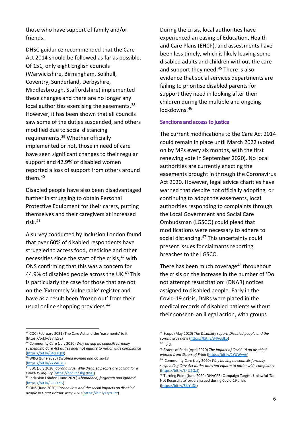those who have support of family and/or friends.

DHSC guidance recommended that the Care Act 2014 should be followed as far as possible. Of 151, only eight English councils (Warwickshire, Birmingham, Solihull, Coventry, Sunderland, Derbyshire, Middlesbrough, Staffordshire) implemented these changes and there are no longer any local authorities exercising the easements.<sup>[38](#page-6-0)</sup> However, it has been shown that all councils saw some of the duties suspended, and others modified due to social distancing requirements. [39](#page-6-1) Whether officially implemented or not, those in need of care have seen significant changes to their regular support and 42.9% of disabled women reported a loss of support from others around them[.40](#page-6-2)

Disabled people have also been disadvantaged further in struggling to obtain Personal Protective Equipment for their carers, putting themselves and their caregivers at increased risk.[41](#page-6-3)

A survey conducted by Inclusion London found that over 60% of disabled respondents have struggled to access food, medicine and other necessities since the start of the crisis, [42](#page-6-4) with ONS confirming that this was a concern for 44.9% of disabled people across the UK.<sup>[43](#page-6-5)</sup> This is particularly the case for those that are not on the 'Extremely Vulnerable' register and have as a result been 'frozen out' from their usual online shopping providers.<sup>[44](#page-6-0)</sup>

During the crisis, local authorities have experienced an easing of Education, Health and Care Plans (EHCP), and assessments have been less timely, which is likely leaving some disabled adults and children without the care and support they need. [45](#page-6-1) There is also evidence that social services departments are failing to prioritise disabled parents for support they need in looking after their children during the multiple and ongoing lockdowns. [46](#page-6-6)

#### **Sanctions and access to justice**

The current modifications to the Care Act 2014 could remain in place until March 2022 (voted on by MPs every six months, with the first renewing vote in September 2020). No local authorities are currently enacting the easements brought in through the Coronavirus Act 2020. However, legal advice charities have warned that despite not officially adopting, or continuing to adopt the easements, local authorities responding to complaints through the Local Government and Social Care Ombudsman (LGSCO) could plead that modifications were necessary to adhere to social distancing. [47](#page-6-7) This uncertainty could present issues for claimants reporting breaches to the LGSCO.

There has been much coverage<sup>[48](#page-6-8)</sup> throughout the crisis on the increase in the number of 'Do not attempt resuscitation' (DNAR) notices assigned to disabled people. Early in the Covid-19 crisis, DNRs were placed in the medical records of disabled patients without their consent- an illegal action, with groups

<span id="page-6-0"></span><sup>&</sup>lt;sup>38</sup> CQC (February 2021) The Care Act and the 'easements' to it (https://bit.ly/37II2vE)

<span id="page-6-6"></span><span id="page-6-1"></span><sup>39</sup> Community Care (July 2020) *Why having no councils formally suspending Care Act duties does not equate to nationwide compliance* [\(https://bit.ly/34U2QzJ\)](https://bit.ly/34U2QzJ)

<sup>40</sup> WBG (June 2020) *Disabled women and Covid-19*

<span id="page-6-7"></span><span id="page-6-2"></span>[<sup>\(</sup>https://bit.ly/2YVACku\)](https://bit.ly/2YVACku)

<span id="page-6-3"></span><sup>41</sup> BBC (July 2020) *Coronavirus: Why disabled people are calling for a Covid-19 inquiry* [\(https://bbc.in/3bg785H\)](https://bbc.in/3bg785H)

<span id="page-6-8"></span><span id="page-6-4"></span><sup>42</sup> Inclusion London (June 2020) *Abandoned, forgotten and ignored* [\(https://bit.ly/3jC1spG\)](https://bit.ly/3jC1spG)

<span id="page-6-5"></span><sup>43</sup> ONS (June 2020) *Coronavirus and the social impacts on disabled people in Great Britain: May 2020* [\(https://bit.ly/3jzOicz\)](https://bit.ly/3jzOicz)

<sup>44</sup> Scope (May 2020) *The Disability report: Disabled people and the coronavirus crisis* [\(https://bit.ly/34VGdLo\)](https://bit.ly/34VGdLo) <sup>45</sup> Ibid.

<sup>46</sup> Sisters of Frida (April 2020) *The Impact of Covid-19 on disabled women from Sisters of Frida* [\(https://bit.ly/2YUWvAe\)](https://bit.ly/2YUWvAe)

<sup>47</sup> Community Care (July 2020) *Why having no councils formally suspending Care Act duties does not equate to nationwide compliance* [\(https://bit.ly/34U2QzJ\)](https://bit.ly/34U2QzJ)

<sup>48</sup> Turning Point (June 2020) DNACPR: Campaign Targets Unlawful 'Do Not Resuscitate' orders issued during Covid-19 crisis [\(https://bit.ly/3kjYdDt\)](https://bit.ly/3kjYdDt)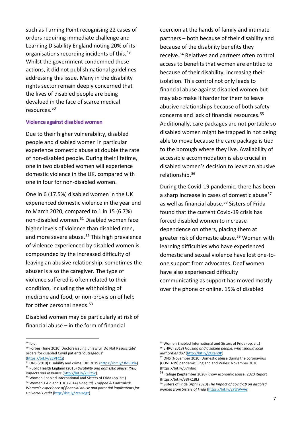such as Turning Point recognising 22 cases of orders requiring immediate challenge and Learning Disability England noting 20% of its organisations recording incidents of this.[49](#page-7-0) Whilst the government condemned these actions, it did not publish national guidelines addressing this issue. Many in the disability rights sector remain deeply concerned that the lives of disabled people are being devalued in the face of scarce medical resources. [50](#page-7-1)

#### **Violence against disabled women**

Due to their higher vulnerability, disabled people and disabled women in particular experience domestic abuse at double the rate of non-disabled people. During their lifetime, one in two disabled women will experience domestic violence in the UK, compared with one in four for non-disabled women.

One in 6 (17.5%) disabled women in the UK experienced domestic violence in the year end to March 2020, compared to 1 in 15 (6.7%) non-disabled women.<sup>51</sup> Disabled women face higher levels of violence than disabled men, and more severe abuse.<sup>52</sup> This high prevalence of violence experienced by disabled women is compounded by the increased difficulty of leaving an abusive relationship; sometimes the abuser is also the caregiver. The type of violence suffered is often related to their condition, including the withholding of medicine and food, or non-provision of help for other personal needs.<sup>[53](#page-7-4)</sup>

Disabled women may be particularly at risk of financial abuse – in the form of financial

coercion at the hands of family and intimate partners – both because of their disability and because of the disability benefits they receive.[54](#page-7-5) Relatives and partners often control access to benefits that women are entitled to because of their disability, increasing their isolation. This control not only leads to financial abuse against disabled women but may also make it harder for them to leave abusive relationships because of both safety concerns and lack of financial resources.<sup>[55](#page-7-0)</sup> Additionally, care packages are not portable so disabled women might be trapped in not being able to move because the care package is tied to the borough where they live. Availability of accessible accommodation is also crucial in disabled women's decision to leave an abusive relationship.[56](#page-7-1)

During the Covid-19 pandemic, there has been a sharp increase in cases of domestic abuse<sup>[57](#page-7-6)</sup> as well as financial abuse.<sup>[58](#page-7-7)</sup> Sisters of Frida found that the current Covid-19 crisis has forced disabled women to increase dependence on others, placing them at greater risk of domestic abuse.<sup>[59](#page-7-8)</sup> Women with learning difficulties who have experienced domestic and sexual violence have lost one-toone support from advocates. Deaf women have also experienced difficulty communicating as support has moved mostly over the phone or online. 15% of disabled

<span id="page-7-0"></span> $49$  Ibid.

<span id="page-7-1"></span><sup>50</sup> Forbes (June 2020) Doctors issuing unlawful 'Do Not Resuscitate' orders for disabled Covid patients 'outrageous'

<span id="page-7-6"></span>[<sup>\(</sup>https://bit.ly/2EVFC1j\)](https://bit.ly/2EVFC1j)

<span id="page-7-2"></span><sup>51</sup> ONS (2019) Disability and crime, UK: 2019 [\(https://bit.ly/3fd80de\)](https://bit.ly/3fd80de) <sup>52</sup> Public Health England (2015) *Disability and domestic abuse: Risk,* 

<span id="page-7-7"></span><span id="page-7-3"></span>*impacts and response* [\(http://bit.ly/2ILlYSc\)](http://bit.ly/2ILlYSc)

<span id="page-7-8"></span><span id="page-7-5"></span><span id="page-7-4"></span><sup>53</sup> Women Enabled International and Sisters of Frida (op. cit.) <sup>54</sup> Women's Aid and TUC (2014) *Unequal, Trapped & Controlled: Women's experience of financial abuse and potential implications for Universal Credit* [\(http://bit.ly/2zaUdgz\)](http://bit.ly/2zaUdgz) 

<sup>55</sup> Women Enabled International and Sisters of Frida (op. cit.) <sup>56</sup> EHRC (2018) *Housing and disabled people: what should local* 

<sup>&</sup>lt;sup>57</sup> ONS (November 2020) Domestic abuse during the coronavirus (COVID-19) pandemic, England and Wales: November 2020 (https://bit.ly/37InIuo)

<sup>58</sup> Refuge (September 2020) Know economic abuse: 2020 Report (https://bit.ly/38FK1BL)

<sup>59</sup> Sisters of Frida (April 2020) *The Impact of Covid-19 on disabled women from Sisters of Frida* [\(https://bit.ly/2YUWvAe\)](https://bit.ly/2YUWvAe)